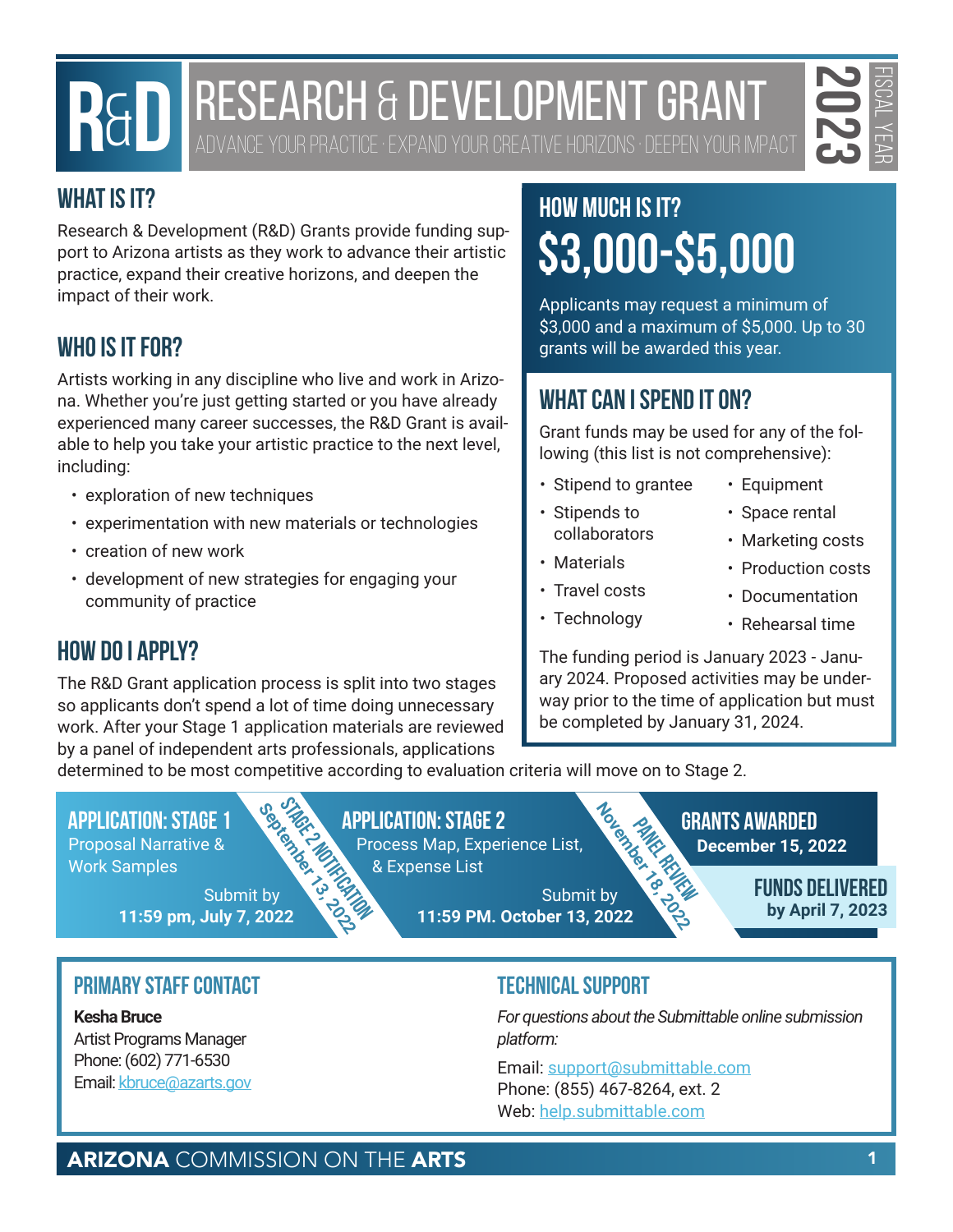# **RESEARCH & DEVELOPMENT GRANT**



ADVANCE YOUR PRACTICE · EXPAND YOUR CREATIVE HORIZONS · DEEPEN YOUR IMPACT

# **What is it?**

Research & Development (R&D) Grants provide funding support to Arizona artists as they work to advance their artistic practice, expand their creative horizons, and deepen the impact of their work.

# **Who is it for?**

**PHOTO BEST ARCH & DEVELOPMENT GRANT**<br> **PARTS 17:**<br>
THE SECRET ARTS IN A DEVELOPMENT GRANT<br>
THE SCHOOLOGY COMMISSION COMMISSION ON THE ARTS 2023<br>
REAL MODEL COMMISSION ON THE ARTS 2023<br>
ARIZONA COMMISSION ON THE ARTS<br>
PART Artists working in any discipline who live and work in Arizona. Whether you're just getting started or you have already experienced many career successes, the R&D Grant is available to help you take your artistic practice to the next level, including:

- exploration of new techniques
- experimentation with new materials or technologies
- creation of new work
- development of new strategies for engaging your community of practice

# **How do I Apply?**

The R&D Grant application process is split into two stages so applicants don't spend a lot of time doing unnecessary work. After your Stage 1 application materials are reviewed by a panel of independent arts professionals, applications

# **How much is it? \$3,000-\$5,000**

Applicants may request a minimum of \$3,000 and a maximum of \$5,000. Up to 30 grants will be awarded this year.

# **What can I spend it on?**

Grant funds may be used for any of the following (this list is not comprehensive):

- Stipend to grantee
- Stipends to collaborators
- Materials
- Travel costs
- Technology
- Equipment
- Space rental
- Marketing costs
- Production costs
- Documentation
- Rehearsal time

The funding period is January 2023 - January 2024. Proposed activities may be underway prior to the time of application but must be completed by January 31, 2024.

determined to be most competitive according to evaluation criteria will move on to Stage 2.

### **Application: Stage 1 Application: Stage 2 Grants Awarded**

Proposal Narrative & Work Samples

> Submit by **11:59 pm, July 7, 2022**

Process Map, Experience List, & Expense List

**December 15, 2022**<br>
December 15, 2022<br>
December 15, 2022<br>
December 15, 2022<br>
December 15, 2022<br>
December 15, 2022<br>
December 15, 2022<br>
December 15, 2022<br>
December 15, 2022<br>
December 15, 2022<br>
December 15, 2022<br>
By April 7, Submit by **11:59 PM. October 13, 2022**

**Paragon BRANTS AWARDED**<br> **December 15, 2022**<br> **PELINDS DELINED** 

**Funds Delivered by April 7, 2023**

# **Primary Staff Contact**

**Kesha Bruce** Artist Programs Manager Phone: (602) 771-6530 Email: [kbruce@azarts.gov](mailto:kbruce@azarts.gov)

## **Technical Support**

*For questions about the Submittable online submission platform:* 

Email: support@submittable.com Phone: (855) 467-8264, ext. 2 Web: help.submittable.com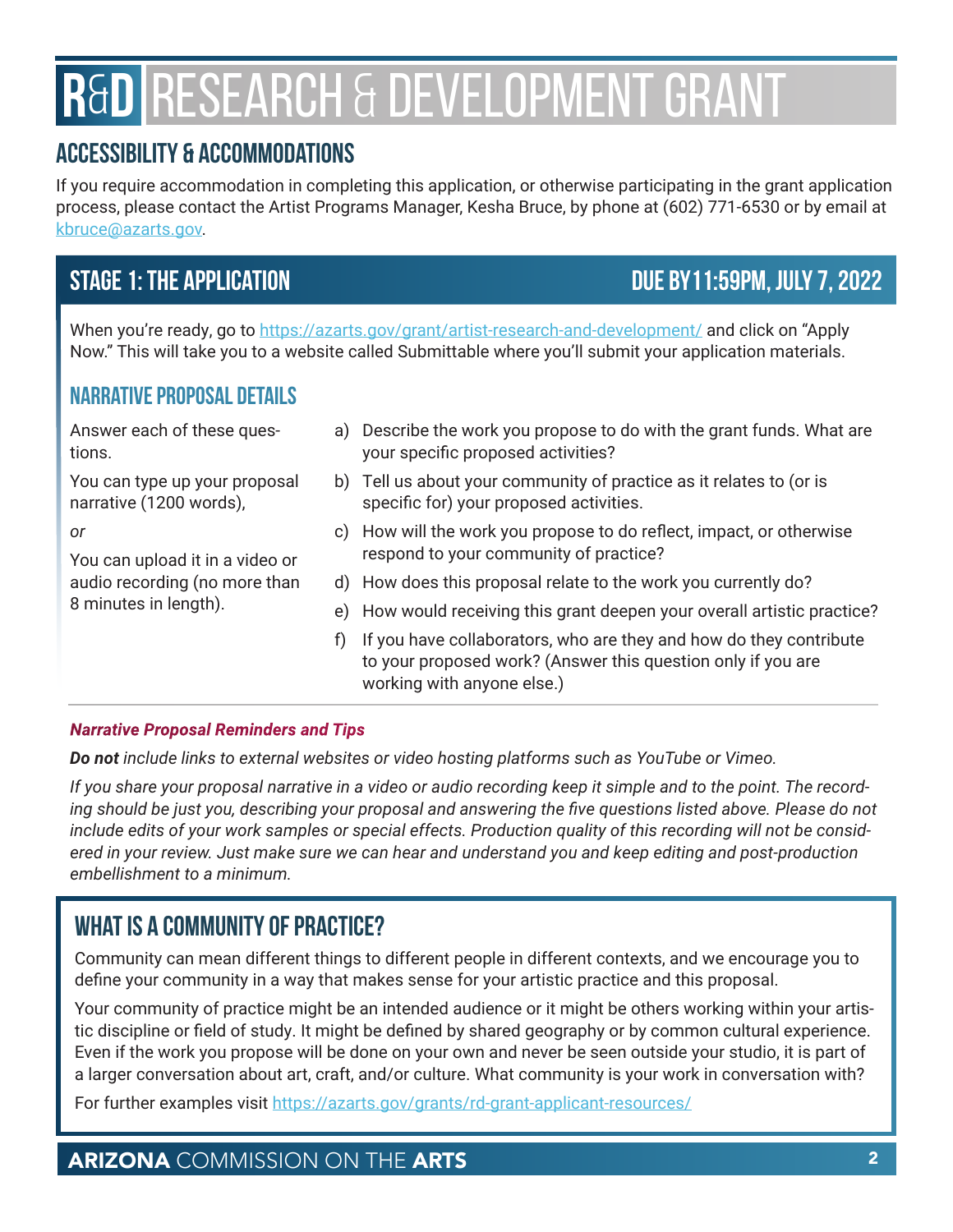# **R**&**D** RESEARCH & DEVELOPMENT GRANT

# **Accessibility & Accommodations**

If you require accommodation in completing this application, or otherwise participating in the grant application process, please contact the Artist Programs Manager, Kesha Bruce, by phone at (602) 771-6530 or by email at [kbruce@azarts.gov.](mailto:kbruce@azarts.gov)

# **Stage 1: The Application Due by11:59pm, July 7, 2022**

When you're ready, go to <https://azarts.gov/grant/artist-research-and-development/> and click on "Apply Now." This will take you to a website called Submittable where you'll submit your application materials.

## **Narrative Proposal Details**

Answer each of these questions.

You can type up your proposal narrative (1200 words),

*or*

You can upload it in a video or audio recording (no more than 8 minutes in length).

- a) Describe the work you propose to do with the grant funds. What are your specific proposed activities?
- b) Tell us about your community of practice as it relates to (or is specific for) your proposed activities.
- c) How will the work you propose to do reflect, impact, or otherwise respond to your community of practice?
- d) How does this proposal relate to the work you currently do?
- e) How would receiving this grant deepen your overall artistic practice?
- f) If you have collaborators, who are they and how do they contribute to your proposed work? (Answer this question only if you are working with anyone else.)

#### *Narrative Proposal Reminders and Tips*

*Do not include links to external websites or video hosting platforms such as YouTube or Vimeo.* 

*If you share your proposal narrative in a video or audio recording keep it simple and to the point. The recording should be just you, describing your proposal and answering the five questions listed above. Please do not include edits of your work samples or special effects. Production quality of this recording will not be considered in your review. Just make sure we can hear and understand you and keep editing and post-production embellishment to a minimum.*

# **What is a Community of Practice?**

Community can mean different things to different people in different contexts, and we encourage you to define your community in a way that makes sense for your artistic practice and this proposal.

Your community of practice might be an intended audience or it might be others working within your artistic discipline or field of study. It might be defined by shared geography or by common cultural experience. Even if the work you propose will be done on your own and never be seen outside your studio, it is part of a larger conversation about art, craft, and/or culture. What community is your work in conversation with?

For further examples visit<https://azarts.gov/grants/rd-grant-applicant-resources/>

# ARIZONA COMMISSION ON THE ARTS **2** 2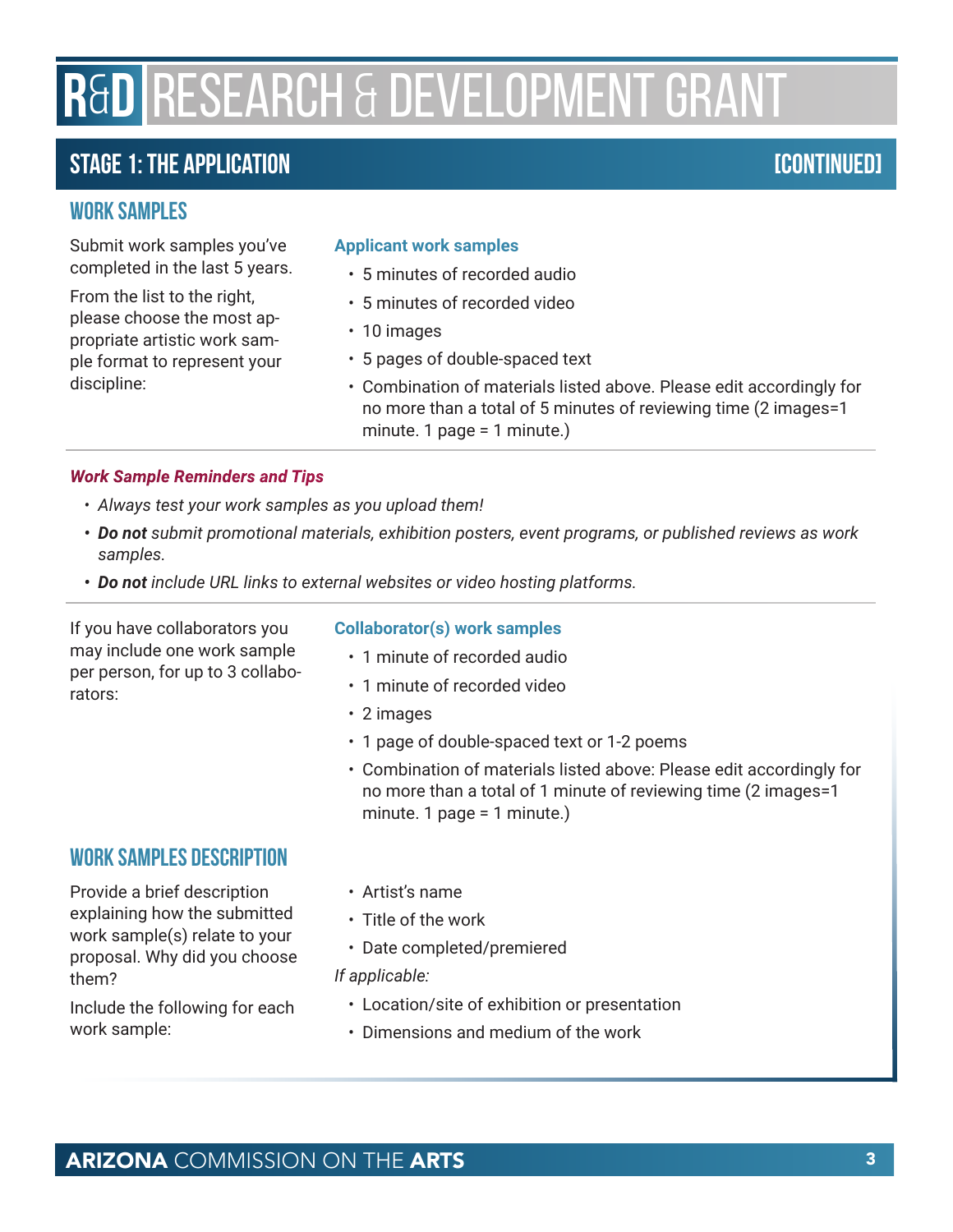# **R**&**D** RESEARCH & DEVELOPMENT GRANT

# **Stage 1: The Application [continued]**

### **Work Samples**

Submit work samples you've completed in the last 5 years.

From the list to the right, please choose the most appropriate artistic work sample format to represent your discipline:

#### **Applicant work samples**

- 5 minutes of recorded audio
- 5 minutes of recorded video
- 10 images
- 5 pages of double-spaced text
- Combination of materials listed above. Please edit accordingly for no more than a total of 5 minutes of reviewing time (2 images=1 minute. 1 page = 1 minute.)

#### *Work Sample Reminders and Tips*

- *• Always test your work samples as you upload them!*
- *• Do not submit promotional materials, exhibition posters, event programs, or published reviews as work samples.*
- *• Do not include URL links to external websites or video hosting platforms.*

If you have collaborators you may include one work sample per person, for up to 3 collaborators:

### **Work Samples Description**

Provide a brief description explaining how the submitted work sample(s) relate to your proposal. Why did you choose them?

Include the following for each work sample:

#### **Collaborator(s) work samples**

- 1 minute of recorded audio
- 1 minute of recorded video
- 2 images
- 1 page of double-spaced text or 1-2 poems
- Combination of materials listed above: Please edit accordingly for no more than a total of 1 minute of reviewing time (2 images=1 minute. 1 page = 1 minute.)
- Artist's name
- Title of the work
- Date completed/premiered

#### *If applicable:*

- Location/site of exhibition or presentation
- Dimensions and medium of the work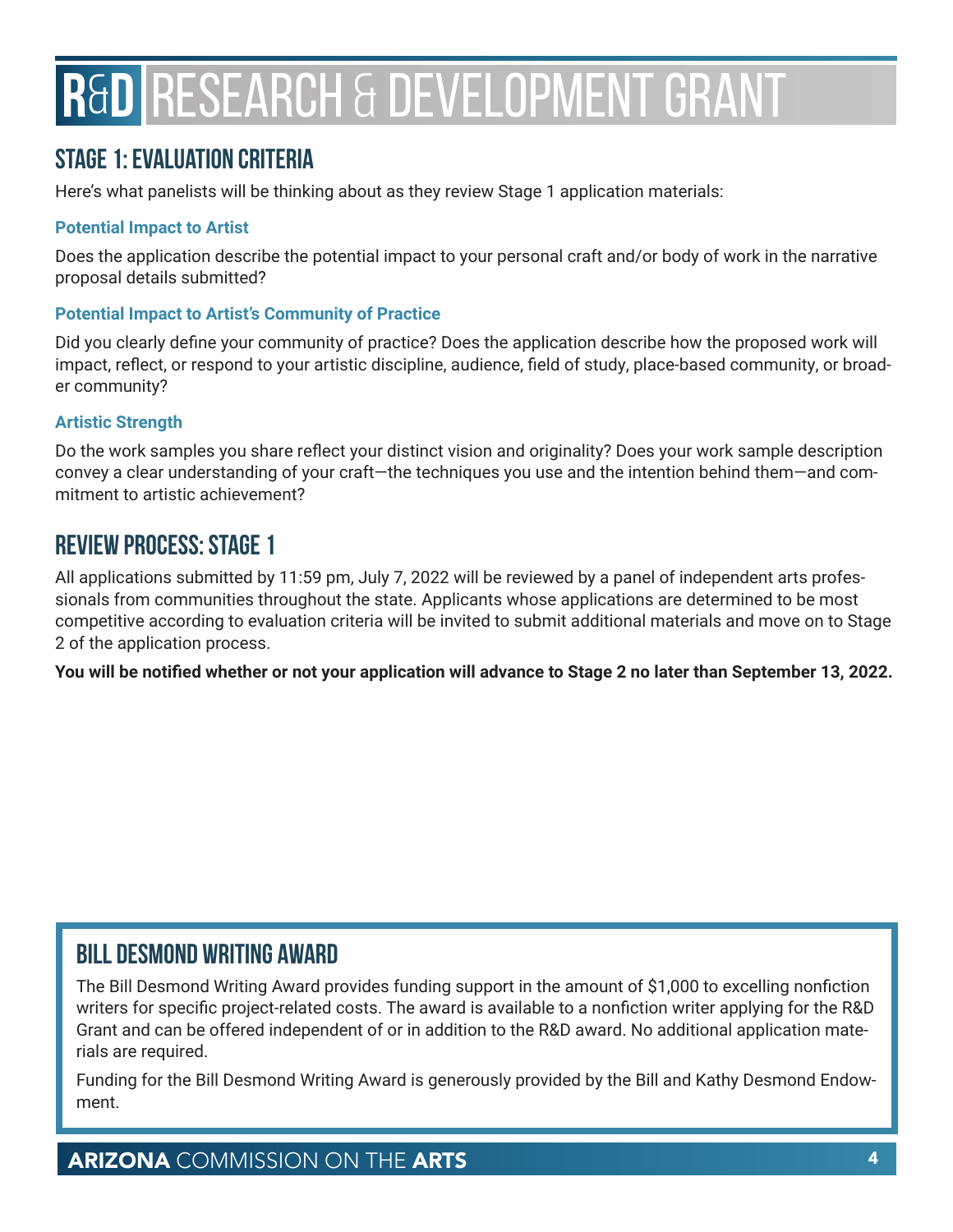# **R**&**D** RESEARCH & DEVELOPMENT GRANT

# **Stage 1: Evaluation Criteria**

Here's what panelists will be thinking about as they review Stage 1 application materials:

#### **Potential Impact to Artist**

Does the application describe the potential impact to your personal craft and/or body of work in the narrative proposal details submitted?

#### **Potential Impact to Artist's Community of Practice**

Did you clearly define your community of practice? Does the application describe how the proposed work will impact, reflect, or respond to your artistic discipline, audience, field of study, place-based community, or broader community?

#### **Artistic Strength**

Do the work samples you share reflect your distinct vision and originality? Does your work sample description convey a clear understanding of your craft—the techniques you use and the intention behind them—and commitment to artistic achievement?

# **Review Process: Stage 1**

All applications submitted by 11:59 pm, July 7, 2022 will be reviewed by a panel of independent arts professionals from communities throughout the state. Applicants whose applications are determined to be most competitive according to evaluation criteria will be invited to submit additional materials and move on to Stage 2 of the application process.

**You will be notified whether or not your application will advance to Stage 2 no later than September 13, 2022.**

# **Bill Desmond Writing Award**

The Bill Desmond Writing Award provides funding support in the amount of \$1,000 to excelling nonfiction writers for specific project-related costs. The award is available to a nonfiction writer applying for the R&D Grant and can be offered independent of or in addition to the R&D award. No additional application materials are required.

Funding for the Bill Desmond Writing Award is generously provided by the Bill and Kathy Desmond Endowment.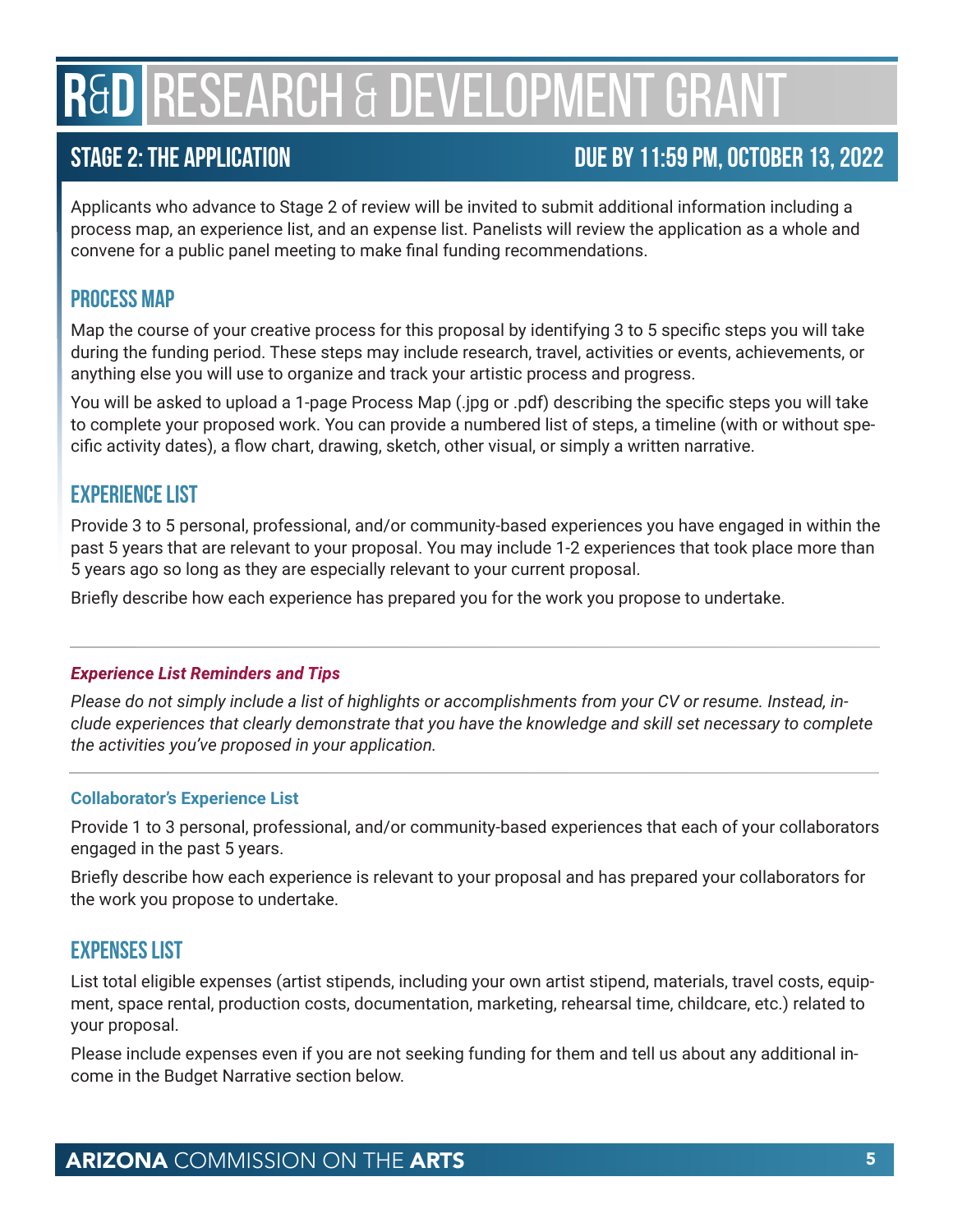# **R**&**D** RESEARCH & DEVELOPMENT GRANT

# **Stage 2: The Application Due by 11:59 pm, October 13, 2022**

Applicants who advance to Stage 2 of review will be invited to submit additional information including a process map, an experience list, and an expense list. Panelists will review the application as a whole and convene for a public panel meeting to make final funding recommendations.

## **Process Map**

Map the course of your creative process for this proposal by identifying 3 to 5 specific steps you will take during the funding period. These steps may include research, travel, activities or events, achievements, or anything else you will use to organize and track your artistic process and progress.

You will be asked to upload a 1-page Process Map (.jpg or .pdf) describing the specific steps you will take to complete your proposed work. You can provide a numbered list of steps, a timeline (with or without specific activity dates), a flow chart, drawing, sketch, other visual, or simply a written narrative.

## **Experience List**

Provide 3 to 5 personal, professional, and/or community-based experiences you have engaged in within the past 5 years that are relevant to your proposal. You may include 1-2 experiences that took place more than 5 years ago so long as they are especially relevant to your current proposal.

Briefly describe how each experience has prepared you for the work you propose to undertake.

#### *Experience List Reminders and Tips*

*Please do not simply include a list of highlights or accomplishments from your CV or resume. Instead, include experiences that clearly demonstrate that you have the knowledge and skill set necessary to complete the activities you've proposed in your application.*

#### **Collaborator's Experience List**

Provide 1 to 3 personal, professional, and/or community-based experiences that each of your collaborators engaged in the past 5 years.

Briefly describe how each experience is relevant to your proposal and has prepared your collaborators for the work you propose to undertake.

## **Expenses List**

List total eligible expenses (artist stipends, including your own artist stipend, materials, travel costs, equipment, space rental, production costs, documentation, marketing, rehearsal time, childcare, etc.) related to your proposal.

Please include expenses even if you are not seeking funding for them and tell us about any additional income in the Budget Narrative section below.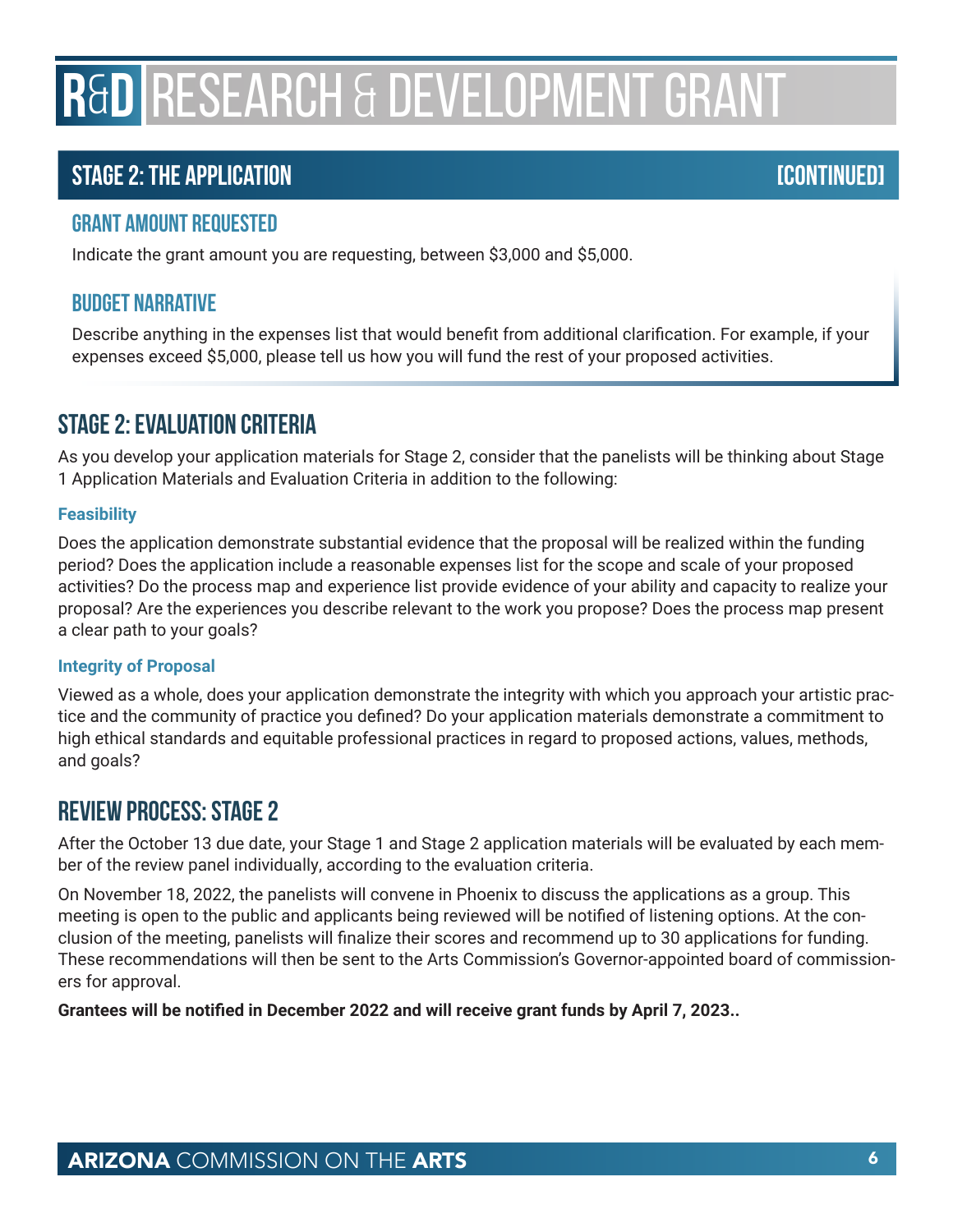# **R**&**D** RESEARCH & DEVELOPMENT GRANT

# **Stage 2: The Application [Continued]**

### **Grant Amount Requested**

Indicate the grant amount you are requesting, between \$3,000 and \$5,000.

### **Budget Narrative**

Describe anything in the expenses list that would benefit from additional clarification. For example, if your expenses exceed \$5,000, please tell us how you will fund the rest of your proposed activities.

# **Stage 2: Evaluation Criteria**

As you develop your application materials for Stage 2, consider that the panelists will be thinking about Stage 1 Application Materials and Evaluation Criteria in addition to the following:

#### **Feasibility**

Does the application demonstrate substantial evidence that the proposal will be realized within the funding period? Does the application include a reasonable expenses list for the scope and scale of your proposed activities? Do the process map and experience list provide evidence of your ability and capacity to realize your proposal? Are the experiences you describe relevant to the work you propose? Does the process map present a clear path to your goals?

#### **Integrity of Proposal**

Viewed as a whole, does your application demonstrate the integrity with which you approach your artistic practice and the community of practice you defined? Do your application materials demonstrate a commitment to high ethical standards and equitable professional practices in regard to proposed actions, values, methods, and goals?

## **Review Process: Stage 2**

After the October 13 due date, your Stage 1 and Stage 2 application materials will be evaluated by each member of the review panel individually, according to the evaluation criteria.

On November 18, 2022, the panelists will convene in Phoenix to discuss the applications as a group. This meeting is open to the public and applicants being reviewed will be notified of listening options. At the conclusion of the meeting, panelists will finalize their scores and recommend up to 30 applications for funding. These recommendations will then be sent to the Arts Commission's Governor-appointed board of commissioners for approval.

**Grantees will be notified in December 2022 and will receive grant funds by April 7, 2023..**